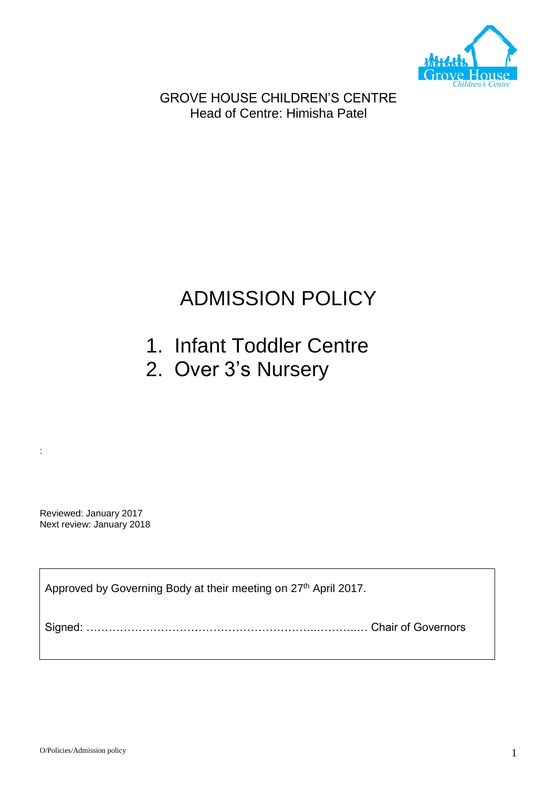

GROVE HOUSE CHILDREN'S CENTRE Head of Centre: Himisha Patel

# ADMISSION POLICY

- 1. Infant Toddler Centre
- 2. Over 3's Nursery

Reviewed: January 2017 Next review: January 2018

:

Approved by Governing Body at their meeting on 27<sup>th</sup> April 2017.

Signed: ……………………………………………………..………..… Chair of Governors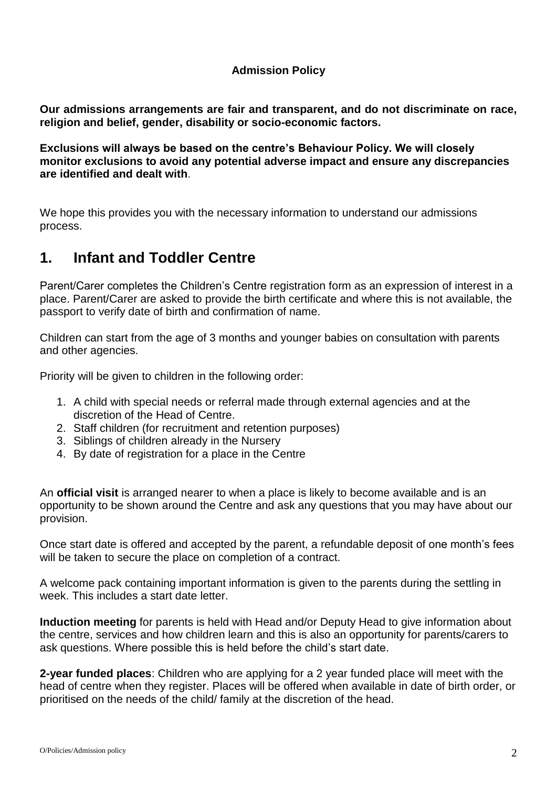#### **Admission Policy**

**Our admissions arrangements are fair and transparent, and do not discriminate on race, religion and belief, gender, disability or socio-economic factors.**

**Exclusions will always be based on the centre's Behaviour Policy. We will closely monitor exclusions to avoid any potential adverse impact and ensure any discrepancies are identified and dealt with**.

We hope this provides you with the necessary information to understand our admissions process.

### **1. Infant and Toddler Centre**

Parent/Carer completes the Children's Centre registration form as an expression of interest in a place. Parent/Carer are asked to provide the birth certificate and where this is not available, the passport to verify date of birth and confirmation of name.

Children can start from the age of 3 months and younger babies on consultation with parents and other agencies.

Priority will be given to children in the following order:

- 1. A child with special needs or referral made through external agencies and at the discretion of the Head of Centre.
- 2. Staff children (for recruitment and retention purposes)
- 3. Siblings of children already in the Nursery
- 4. By date of registration for a place in the Centre

An **official visit** is arranged nearer to when a place is likely to become available and is an opportunity to be shown around the Centre and ask any questions that you may have about our provision.

Once start date is offered and accepted by the parent, a refundable deposit of one month's fees will be taken to secure the place on completion of a contract.

A welcome pack containing important information is given to the parents during the settling in week. This includes a start date letter.

**Induction meeting** for parents is held with Head and/or Deputy Head to give information about the centre, services and how children learn and this is also an opportunity for parents/carers to ask questions. Where possible this is held before the child's start date.

**2-year funded places**: Children who are applying for a 2 year funded place will meet with the head of centre when they register. Places will be offered when available in date of birth order, or prioritised on the needs of the child/ family at the discretion of the head.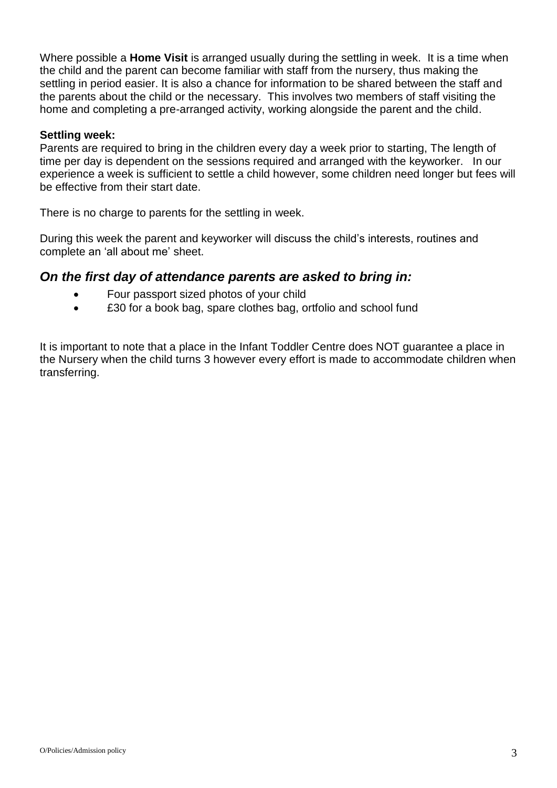Where possible a **Home Visit** is arranged usually during the settling in week. It is a time when the child and the parent can become familiar with staff from the nursery, thus making the settling in period easier. It is also a chance for information to be shared between the staff and the parents about the child or the necessary. This involves two members of staff visiting the home and completing a pre-arranged activity, working alongside the parent and the child.

#### **Settling week:**

Parents are required to bring in the children every day a week prior to starting, The length of time per day is dependent on the sessions required and arranged with the keyworker. In our experience a week is sufficient to settle a child however, some children need longer but fees will be effective from their start date.

There is no charge to parents for the settling in week.

During this week the parent and keyworker will discuss the child's interests, routines and complete an 'all about me' sheet.

#### *On the first day of attendance parents are asked to bring in:*

- Four passport sized photos of your child
- £30 for a book bag, spare clothes bag, ortfolio and school fund

It is important to note that a place in the Infant Toddler Centre does NOT guarantee a place in the Nursery when the child turns 3 however every effort is made to accommodate children when transferring.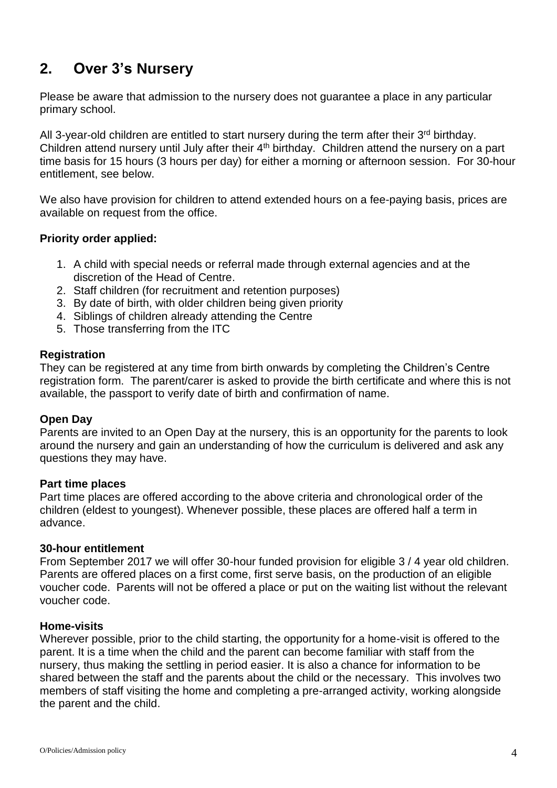## **2. Over 3's Nursery**

Please be aware that admission to the nursery does not guarantee a place in any particular primary school.

All 3-year-old children are entitled to start nursery during the term after their  $3<sup>rd</sup>$  birthday. Children attend nursery until July after their 4<sup>th</sup> birthday. Children attend the nursery on a part time basis for 15 hours (3 hours per day) for either a morning or afternoon session. For 30-hour entitlement, see below.

We also have provision for children to attend extended hours on a fee-paying basis, prices are available on request from the office.

#### **Priority order applied:**

- 1. A child with special needs or referral made through external agencies and at the discretion of the Head of Centre.
- 2. Staff children (for recruitment and retention purposes)
- 3. By date of birth, with older children being given priority
- 4. Siblings of children already attending the Centre
- 5. Those transferring from the ITC

#### **Registration**

They can be registered at any time from birth onwards by completing the Children's Centre registration form. The parent/carer is asked to provide the birth certificate and where this is not available, the passport to verify date of birth and confirmation of name.

#### **Open Day**

Parents are invited to an Open Day at the nursery, this is an opportunity for the parents to look around the nursery and gain an understanding of how the curriculum is delivered and ask any questions they may have.

#### **Part time places**

Part time places are offered according to the above criteria and chronological order of the children (eldest to youngest). Whenever possible, these places are offered half a term in advance.

#### **30-hour entitlement**

From September 2017 we will offer 30-hour funded provision for eligible 3 / 4 year old children. Parents are offered places on a first come, first serve basis, on the production of an eligible voucher code. Parents will not be offered a place or put on the waiting list without the relevant voucher code.

#### **Home-visits**

Wherever possible, prior to the child starting, the opportunity for a home-visit is offered to the parent. It is a time when the child and the parent can become familiar with staff from the nursery, thus making the settling in period easier. It is also a chance for information to be shared between the staff and the parents about the child or the necessary. This involves two members of staff visiting the home and completing a pre-arranged activity, working alongside the parent and the child.